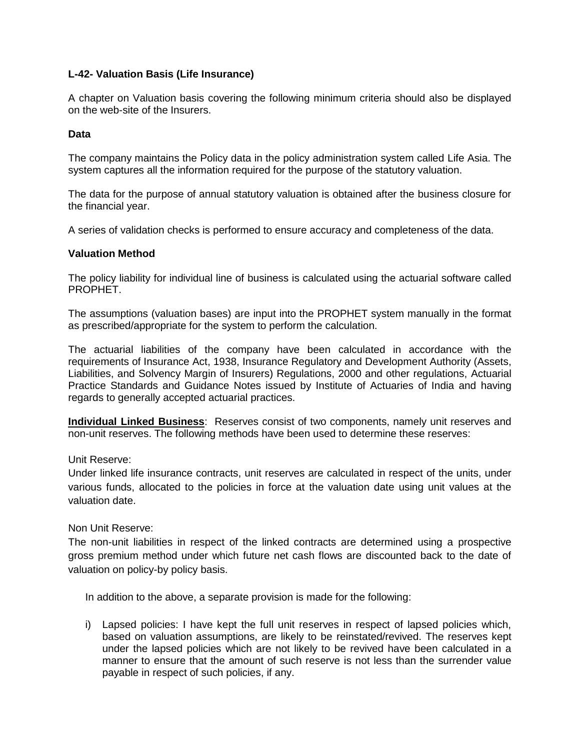# **L-42- Valuation Basis (Life Insurance)**

A chapter on Valuation basis covering the following minimum criteria should also be displayed on the web-site of the Insurers.

## **Data**

The company maintains the Policy data in the policy administration system called Life Asia. The system captures all the information required for the purpose of the statutory valuation.

The data for the purpose of annual statutory valuation is obtained after the business closure for the financial year.

A series of validation checks is performed to ensure accuracy and completeness of the data.

## **Valuation Method**

The policy liability for individual line of business is calculated using the actuarial software called PROPHET.

The assumptions (valuation bases) are input into the PROPHET system manually in the format as prescribed/appropriate for the system to perform the calculation.

The actuarial liabilities of the company have been calculated in accordance with the requirements of Insurance Act, 1938, Insurance Regulatory and Development Authority (Assets, Liabilities, and Solvency Margin of Insurers) Regulations, 2000 and other regulations, Actuarial Practice Standards and Guidance Notes issued by Institute of Actuaries of India and having regards to generally accepted actuarial practices.

**Individual Linked Business**: Reserves consist of two components, namely unit reserves and non-unit reserves. The following methods have been used to determine these reserves:

Unit Reserve:

Under linked life insurance contracts, unit reserves are calculated in respect of the units, under various funds, allocated to the policies in force at the valuation date using unit values at the valuation date.

Non Unit Reserve:

The non-unit liabilities in respect of the linked contracts are determined using a prospective gross premium method under which future net cash flows are discounted back to the date of valuation on policy-by policy basis.

In addition to the above, a separate provision is made for the following:

i) Lapsed policies: I have kept the full unit reserves in respect of lapsed policies which, based on valuation assumptions, are likely to be reinstated/revived. The reserves kept under the lapsed policies which are not likely to be revived have been calculated in a manner to ensure that the amount of such reserve is not less than the surrender value payable in respect of such policies, if any.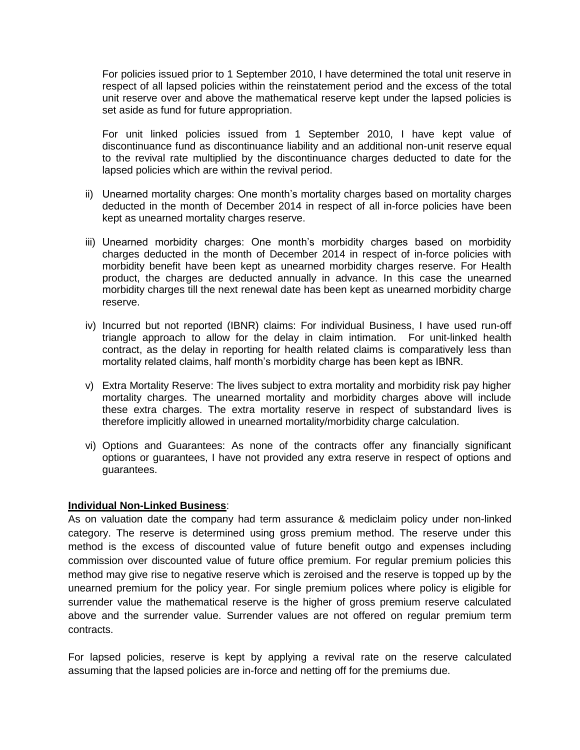For policies issued prior to 1 September 2010, I have determined the total unit reserve in respect of all lapsed policies within the reinstatement period and the excess of the total unit reserve over and above the mathematical reserve kept under the lapsed policies is set aside as fund for future appropriation.

For unit linked policies issued from 1 September 2010, I have kept value of discontinuance fund as discontinuance liability and an additional non-unit reserve equal to the revival rate multiplied by the discontinuance charges deducted to date for the lapsed policies which are within the revival period.

- ii) Unearned mortality charges: One month's mortality charges based on mortality charges deducted in the month of December 2014 in respect of all in-force policies have been kept as unearned mortality charges reserve.
- iii) Unearned morbidity charges: One month's morbidity charges based on morbidity charges deducted in the month of December 2014 in respect of in-force policies with morbidity benefit have been kept as unearned morbidity charges reserve. For Health product, the charges are deducted annually in advance. In this case the unearned morbidity charges till the next renewal date has been kept as unearned morbidity charge reserve.
- iv) Incurred but not reported (IBNR) claims: For individual Business, I have used run-off triangle approach to allow for the delay in claim intimation. For unit-linked health contract, as the delay in reporting for health related claims is comparatively less than mortality related claims, half month's morbidity charge has been kept as IBNR.
- v) Extra Mortality Reserve: The lives subject to extra mortality and morbidity risk pay higher mortality charges. The unearned mortality and morbidity charges above will include these extra charges. The extra mortality reserve in respect of substandard lives is therefore implicitly allowed in unearned mortality/morbidity charge calculation.
- vi) Options and Guarantees: As none of the contracts offer any financially significant options or guarantees, I have not provided any extra reserve in respect of options and guarantees.

## **Individual Non-Linked Business**:

As on valuation date the company had term assurance & mediclaim policy under non-linked category. The reserve is determined using gross premium method. The reserve under this method is the excess of discounted value of future benefit outgo and expenses including commission over discounted value of future office premium. For regular premium policies this method may give rise to negative reserve which is zeroised and the reserve is topped up by the unearned premium for the policy year. For single premium polices where policy is eligible for surrender value the mathematical reserve is the higher of gross premium reserve calculated above and the surrender value. Surrender values are not offered on regular premium term contracts.

For lapsed policies, reserve is kept by applying a revival rate on the reserve calculated assuming that the lapsed policies are in-force and netting off for the premiums due.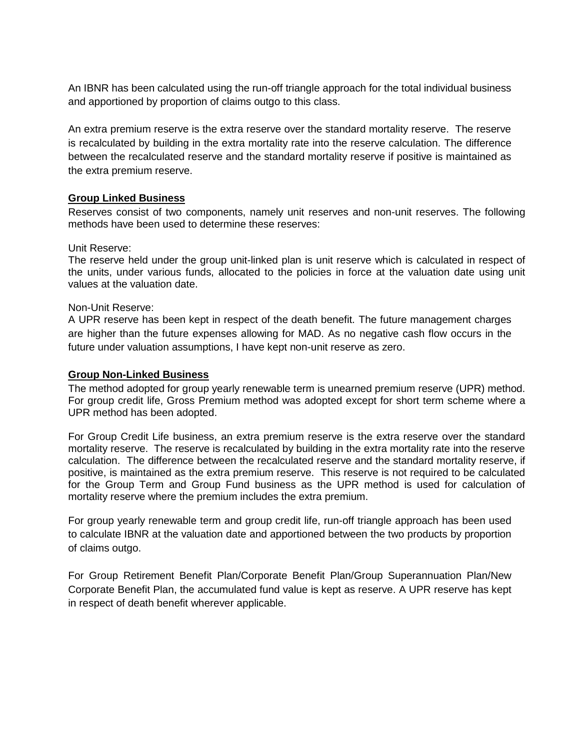An IBNR has been calculated using the run-off triangle approach for the total individual business and apportioned by proportion of claims outgo to this class.

An extra premium reserve is the extra reserve over the standard mortality reserve. The reserve is recalculated by building in the extra mortality rate into the reserve calculation. The difference between the recalculated reserve and the standard mortality reserve if positive is maintained as the extra premium reserve.

# **Group Linked Business**

Reserves consist of two components, namely unit reserves and non-unit reserves. The following methods have been used to determine these reserves:

## Unit Reserve:

The reserve held under the group unit-linked plan is unit reserve which is calculated in respect of the units, under various funds, allocated to the policies in force at the valuation date using unit values at the valuation date.

## Non-Unit Reserve:

A UPR reserve has been kept in respect of the death benefit. The future management charges are higher than the future expenses allowing for MAD. As no negative cash flow occurs in the future under valuation assumptions, I have kept non-unit reserve as zero.

## **Group Non-Linked Business**

The method adopted for group yearly renewable term is unearned premium reserve (UPR) method. For group credit life, Gross Premium method was adopted except for short term scheme where a UPR method has been adopted.

For Group Credit Life business, an extra premium reserve is the extra reserve over the standard mortality reserve. The reserve is recalculated by building in the extra mortality rate into the reserve calculation. The difference between the recalculated reserve and the standard mortality reserve, if positive, is maintained as the extra premium reserve. This reserve is not required to be calculated for the Group Term and Group Fund business as the UPR method is used for calculation of mortality reserve where the premium includes the extra premium.

For group yearly renewable term and group credit life, run-off triangle approach has been used to calculate IBNR at the valuation date and apportioned between the two products by proportion of claims outgo.

For Group Retirement Benefit Plan/Corporate Benefit Plan/Group Superannuation Plan/New Corporate Benefit Plan, the accumulated fund value is kept as reserve. A UPR reserve has kept in respect of death benefit wherever applicable.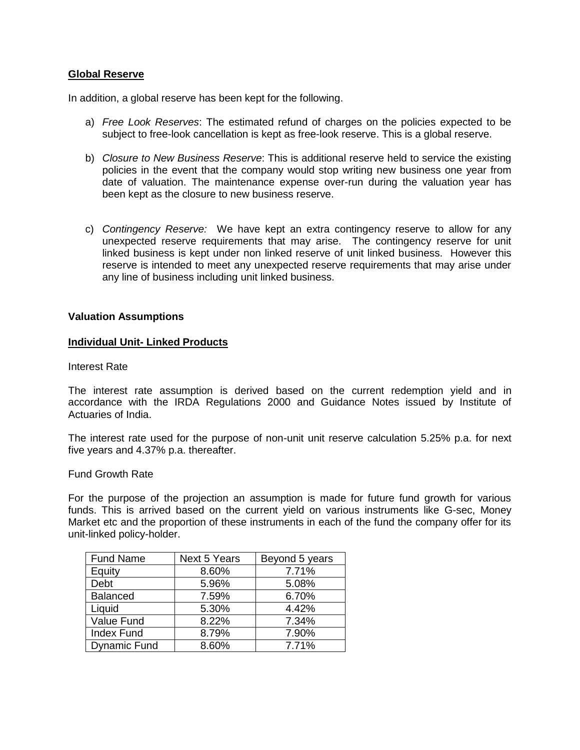## **Global Reserve**

In addition, a global reserve has been kept for the following.

- a) *Free Look Reserves*: The estimated refund of charges on the policies expected to be subject to free-look cancellation is kept as free-look reserve. This is a global reserve.
- b) *Closure to New Business Reserve*: This is additional reserve held to service the existing policies in the event that the company would stop writing new business one year from date of valuation. The maintenance expense over-run during the valuation year has been kept as the closure to new business reserve.
- c) *Contingency Reserve:* We have kept an extra contingency reserve to allow for any unexpected reserve requirements that may arise. The contingency reserve for unit linked business is kept under non linked reserve of unit linked business. However this reserve is intended to meet any unexpected reserve requirements that may arise under any line of business including unit linked business.

## **Valuation Assumptions**

#### **Individual Unit- Linked Products**

#### Interest Rate

The interest rate assumption is derived based on the current redemption yield and in accordance with the IRDA Regulations 2000 and Guidance Notes issued by Institute of Actuaries of India.

The interest rate used for the purpose of non-unit unit reserve calculation 5.25% p.a. for next five years and 4.37% p.a. thereafter.

Fund Growth Rate

For the purpose of the projection an assumption is made for future fund growth for various funds. This is arrived based on the current yield on various instruments like G-sec, Money Market etc and the proportion of these instruments in each of the fund the company offer for its unit-linked policy-holder.

| <b>Fund Name</b>  | <b>Next 5 Years</b> | Beyond 5 years |
|-------------------|---------------------|----------------|
| Equity            | 8.60%               | 7.71%          |
| Debt              | 5.96%               | 5.08%          |
| <b>Balanced</b>   | 7.59%               | 6.70%          |
| Liquid            | 5.30%               | 4.42%          |
| Value Fund        | 8.22%               | 7.34%          |
| <b>Index Fund</b> | 8.79%               | 7.90%          |
| Dynamic Fund      | 8.60%               | 7.71%          |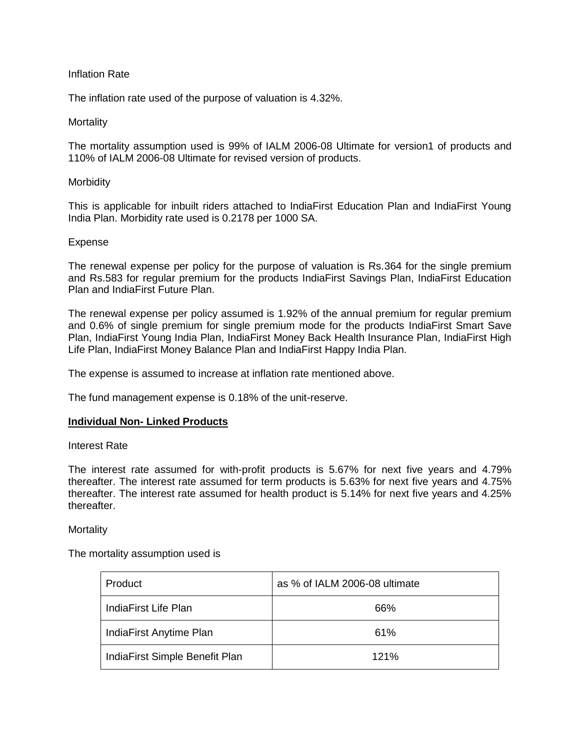## Inflation Rate

The inflation rate used of the purpose of valuation is 4.32%.

## **Mortality**

The mortality assumption used is 99% of IALM 2006-08 Ultimate for version1 of products and 110% of IALM 2006-08 Ultimate for revised version of products.

## **Morbidity**

This is applicable for inbuilt riders attached to IndiaFirst Education Plan and IndiaFirst Young India Plan. Morbidity rate used is 0.2178 per 1000 SA.

## Expense

The renewal expense per policy for the purpose of valuation is Rs.364 for the single premium and Rs.583 for regular premium for the products IndiaFirst Savings Plan, IndiaFirst Education Plan and IndiaFirst Future Plan.

The renewal expense per policy assumed is 1.92% of the annual premium for regular premium and 0.6% of single premium for single premium mode for the products IndiaFirst Smart Save Plan, IndiaFirst Young India Plan, IndiaFirst Money Back Health Insurance Plan, IndiaFirst High Life Plan, IndiaFirst Money Balance Plan and IndiaFirst Happy India Plan.

The expense is assumed to increase at inflation rate mentioned above.

The fund management expense is 0.18% of the unit-reserve.

## **Individual Non- Linked Products**

#### Interest Rate

The interest rate assumed for with-profit products is 5.67% for next five years and 4.79% thereafter. The interest rate assumed for term products is 5.63% for next five years and 4.75% thereafter. The interest rate assumed for health product is 5.14% for next five years and 4.25% thereafter.

## **Mortality**

## The mortality assumption used is

| Product                        | as % of IALM 2006-08 ultimate |
|--------------------------------|-------------------------------|
| IndiaFirst Life Plan           | 66%                           |
| IndiaFirst Anytime Plan        | 61%                           |
| IndiaFirst Simple Benefit Plan | 121%                          |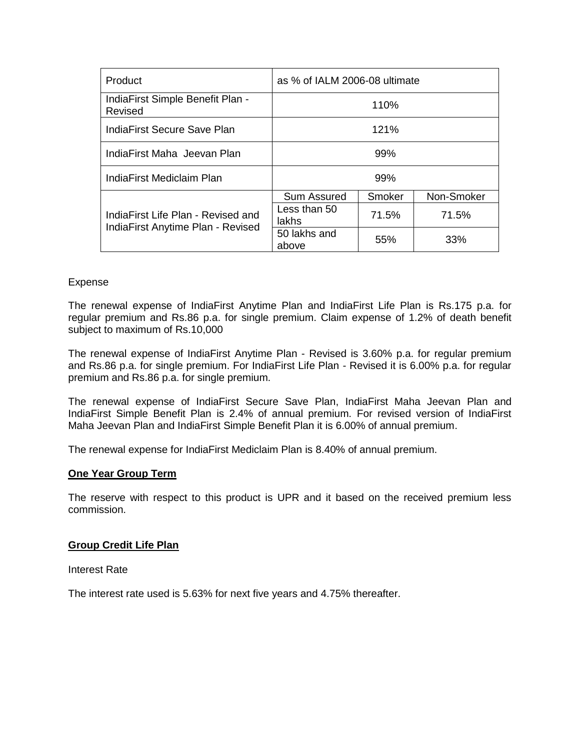| Product                                                                 | as % of IALM 2006-08 ultimate |        |            |
|-------------------------------------------------------------------------|-------------------------------|--------|------------|
| IndiaFirst Simple Benefit Plan -<br>Revised                             | 110%                          |        |            |
| IndiaFirst Secure Save Plan                                             | 121%                          |        |            |
| IndiaFirst Maha Jeevan Plan                                             | 99%                           |        |            |
| IndiaFirst Mediclaim Plan                                               | 99%                           |        |            |
| IndiaFirst Life Plan - Revised and<br>IndiaFirst Anytime Plan - Revised | <b>Sum Assured</b>            | Smoker | Non-Smoker |
|                                                                         | Less than 50<br>lakhs         | 71.5%  | 71.5%      |
|                                                                         | 50 lakhs and<br>above         | 55%    | 33%        |

# Expense

The renewal expense of IndiaFirst Anytime Plan and IndiaFirst Life Plan is Rs.175 p.a. for regular premium and Rs.86 p.a. for single premium. Claim expense of 1.2% of death benefit subject to maximum of Rs.10,000

The renewal expense of IndiaFirst Anytime Plan - Revised is 3.60% p.a. for regular premium and Rs.86 p.a. for single premium. For IndiaFirst Life Plan - Revised it is 6.00% p.a. for regular premium and Rs.86 p.a. for single premium.

The renewal expense of IndiaFirst Secure Save Plan, IndiaFirst Maha Jeevan Plan and IndiaFirst Simple Benefit Plan is 2.4% of annual premium. For revised version of IndiaFirst Maha Jeevan Plan and IndiaFirst Simple Benefit Plan it is 6.00% of annual premium.

The renewal expense for IndiaFirst Mediclaim Plan is 8.40% of annual premium.

## **One Year Group Term**

The reserve with respect to this product is UPR and it based on the received premium less commission.

# **Group Credit Life Plan**

Interest Rate

The interest rate used is 5.63% for next five years and 4.75% thereafter.